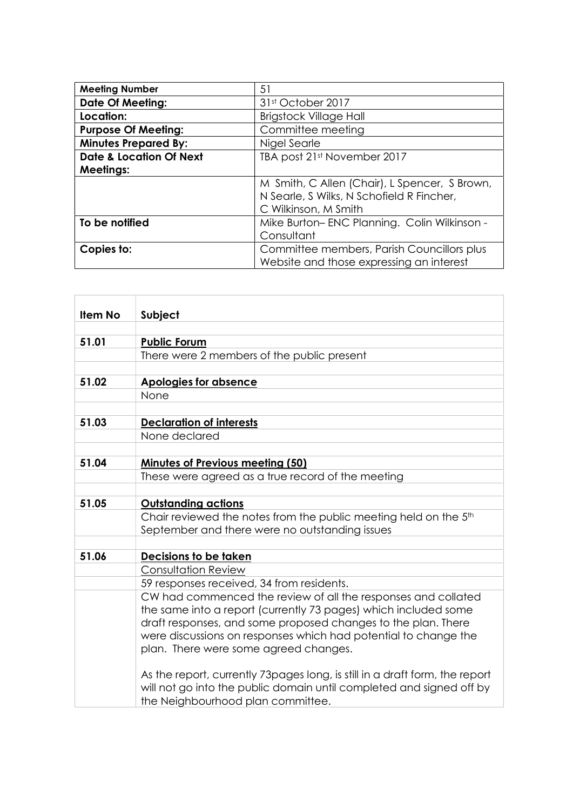| <b>Meeting Number</b>              | 51                                            |
|------------------------------------|-----------------------------------------------|
| <b>Date Of Meeting:</b>            | 31st October 2017                             |
| Location:                          | <b>Brigstock Village Hall</b>                 |
| <b>Purpose Of Meeting:</b>         | Committee meeting                             |
| <b>Minutes Prepared By:</b>        | Nigel Searle                                  |
| <b>Date &amp; Location Of Next</b> | TBA post 21st November 2017                   |
| <b>Meetings:</b>                   |                                               |
|                                    | M Smith, C Allen (Chair), L Spencer, S Brown, |
|                                    | N Searle, S Wilks, N Schofield R Fincher,     |
|                                    | C Wilkinson, M Smith                          |
| To be notified                     | Mike Burton-ENC Planning. Colin Wilkinson -   |
|                                    | Consultant                                    |
| Copies to:                         | Committee members, Parish Councillors plus    |
|                                    | Website and those expressing an interest      |

| Subject                                                                                                   |
|-----------------------------------------------------------------------------------------------------------|
| <b>Public Forum</b>                                                                                       |
| There were 2 members of the public present                                                                |
|                                                                                                           |
| <b>Apologies for absence</b>                                                                              |
| None                                                                                                      |
|                                                                                                           |
| <b>Declaration of interests</b>                                                                           |
| None declared                                                                                             |
|                                                                                                           |
| <b>Minutes of Previous meeting (50)</b>                                                                   |
| These were agreed as a true record of the meeting                                                         |
|                                                                                                           |
| <b>Outstanding actions</b>                                                                                |
| Chair reviewed the notes from the public meeting held on the 5 <sup>th</sup>                              |
| September and there were no outstanding issues                                                            |
|                                                                                                           |
| Decisions to be taken                                                                                     |
| <b>Consultation Review</b>                                                                                |
| 59 responses received, 34 from residents.                                                                 |
| CW had commenced the review of all the responses and collated                                             |
| the same into a report (currently 73 pages) which included some                                           |
| draft responses, and some proposed changes to the plan. There                                             |
| were discussions on responses which had potential to change the                                           |
| plan. There were some agreed changes.                                                                     |
| As the report, currently 73 pages long, is still in a draft form, the report                              |
| will not go into the public domain until completed and signed off by<br>the Neighbourhood plan committee. |
|                                                                                                           |